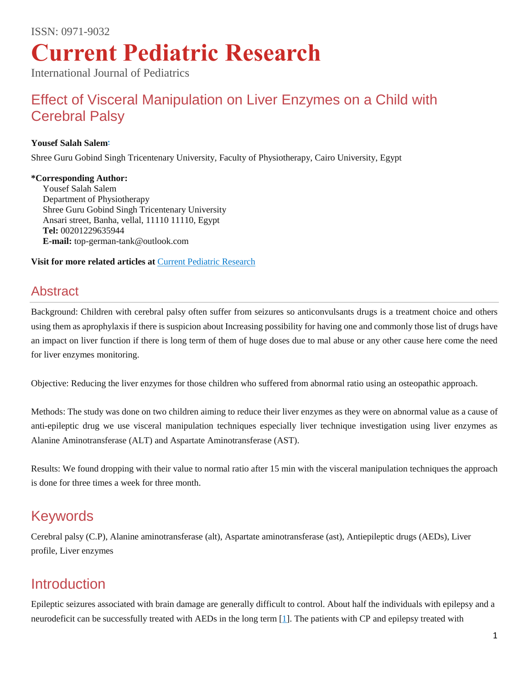International Journal of Pediatrics

# [Effect of Visceral Manipulation on Liver Enzymes on a Child with](http://www.currentpediatrics.com/articles/articles/effect-of-visceral-manipulation-on-liver-enzymes-on-a-child-with-cerebral-palsy.html)  [Cerebral Palsy](http://www.currentpediatrics.com/articles/articles/effect-of-visceral-manipulation-on-liver-enzymes-on-a-child-with-cerebral-palsy.html)

#### **Yousef Salah Sale[m](http://www.currentpediatrics.com/articles/effect-of-visceral-manipulation-on-liver-enzymes-on-a-child-with-cerebral-palsy.html#corr)\***

Shree Guru Gobind Singh Tricentenary University, Faculty of Physiotherapy, Cairo University, Egypt

#### **\*Corresponding Author:**

Yousef Salah Salem Department of Physiotherapy Shree Guru Gobind Singh Tricentenary University Ansari street, Banha, vellal, 11110 11110, Egypt **Tel:** 00201229635944 **E-mail:** top-german-tank@outlook.com

**Visit for more related articles at** [Current Pediatric Research](http://www.currentpediatrics.com/current-issue.php)

#### **Abstract**

Background: Children with cerebral palsy often suffer from seizures so anticonvulsants drugs is a treatment choice and others using them as aprophylaxis if there is suspicion about Increasing possibility for having one and commonly those list of drugs have an impact on liver function if there is long term of them of huge doses due to mal abuse or any other cause here come the need for liver enzymes monitoring.

Objective: Reducing the liver enzymes for those children who suffered from abnormal ratio using an osteopathic approach.

Methods: The study was done on two children aiming to reduce their liver enzymes as they were on abnormal value as a cause of anti-epileptic drug we use visceral manipulation techniques especially liver technique investigation using liver enzymes as Alanine Aminotransferase (ALT) and Aspartate Aminotransferase (AST).

Results: We found dropping with their value to normal ratio after 15 min with the visceral manipulation techniques the approach is done for three times a week for three month.

## Keywords

Cerebral palsy (C.P), Alanine aminotransferase (alt), Aspartate aminotransferase (ast), Antiepileptic drugs (AEDs), Liver profile, Liver enzymes

## Introduction

Epileptic seizures associated with brain damage are generally difficult to control. About half the individuals with epilepsy and a neurodeficit can be successfully treated with AEDs in the long term [\[1\]](http://www.currentpediatrics.com/articles/effect-of-visceral-manipulation-on-liver-enzymes-on-a-child-with-cerebral-palsy.html#1). The patients with CP and epilepsy treated with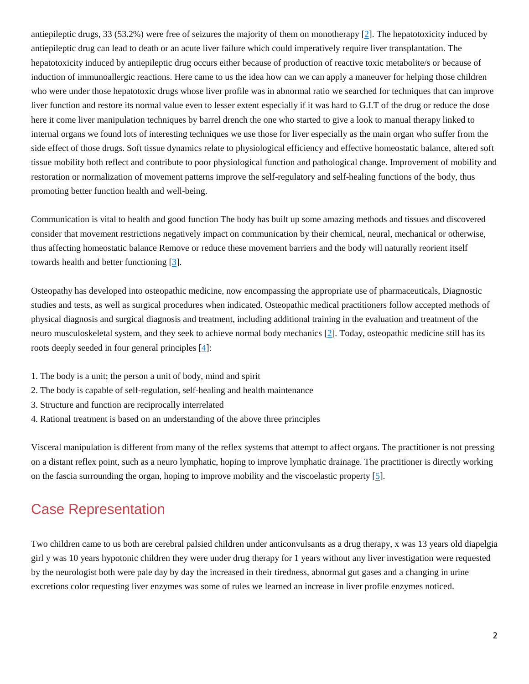antiepileptic drugs, 33 (53.2%) were free of seizures the majority of them on monotherapy [\[2\]](http://www.currentpediatrics.com/articles/effect-of-visceral-manipulation-on-liver-enzymes-on-a-child-with-cerebral-palsy.html#2). The hepatotoxicity induced by antiepileptic drug can lead to death or an acute liver failure which could imperatively require liver transplantation. The hepatotoxicity induced by antiepileptic drug occurs either because of production of reactive toxic metabolite/s or because of induction of immunoallergic reactions. Here came to us the idea how can we can apply a maneuver for helping those children who were under those hepatotoxic drugs whose liver profile was in abnormal ratio we searched for techniques that can improve liver function and restore its normal value even to lesser extent especially if it was hard to G.I.T of the drug or reduce the dose here it come liver manipulation techniques by barrel drench the one who started to give a look to manual therapy linked to internal organs we found lots of interesting techniques we use those for liver especially as the main organ who suffer from the side effect of those drugs. Soft tissue dynamics relate to physiological efficiency and effective homeostatic balance, altered soft tissue mobility both reflect and contribute to poor physiological function and pathological change. Improvement of mobility and restoration or normalization of movement patterns improve the self-regulatory and self-healing functions of the body, thus promoting better function health and well-being.

Communication is vital to health and good function The body has built up some amazing methods and tissues and discovered consider that movement restrictions negatively impact on communication by their chemical, neural, mechanical or otherwise, thus affecting homeostatic balance Remove or reduce these movement barriers and the body will naturally reorient itself towards health and better functioning [\[3\]](http://www.currentpediatrics.com/articles/effect-of-visceral-manipulation-on-liver-enzymes-on-a-child-with-cerebral-palsy.html#3).

Osteopathy has developed into osteopathic medicine, now encompassing the appropriate use of pharmaceuticals, Diagnostic studies and tests, as well as surgical procedures when indicated. Osteopathic medical practitioners follow accepted methods of physical diagnosis and surgical diagnosis and treatment, including additional training in the evaluation and treatment of the neuro musculoskeletal system, and they seek to achieve normal body mechanics [\[2\]](http://www.currentpediatrics.com/articles/effect-of-visceral-manipulation-on-liver-enzymes-on-a-child-with-cerebral-palsy.html#2). Today, osteopathic medicine still has its roots deeply seeded in four general principles [\[4\]](http://www.currentpediatrics.com/articles/effect-of-visceral-manipulation-on-liver-enzymes-on-a-child-with-cerebral-palsy.html#4):

- 1. The body is a unit; the person a unit of body, mind and spirit
- 2. The body is capable of self-regulation, self-healing and health maintenance
- 3. Structure and function are reciprocally interrelated
- 4. Rational treatment is based on an understanding of the above three principles

Visceral manipulation is different from many of the reflex systems that attempt to affect organs. The practitioner is not pressing on a distant reflex point, such as a neuro lymphatic, hoping to improve lymphatic drainage. The practitioner is directly working on the fascia surrounding the organ, hoping to improve mobility and the viscoelastic property [\[5\]](http://www.currentpediatrics.com/articles/effect-of-visceral-manipulation-on-liver-enzymes-on-a-child-with-cerebral-palsy.html#5).

## Case Representation

Two children came to us both are cerebral palsied children under anticonvulsants as a drug therapy, x was 13 years old diapelgia girl y was 10 years hypotonic children they were under drug therapy for 1 years without any liver investigation were requested by the neurologist both were pale day by day the increased in their tiredness, abnormal gut gases and a changing in urine excretions color requesting liver enzymes was some of rules we learned an increase in liver profile enzymes noticed.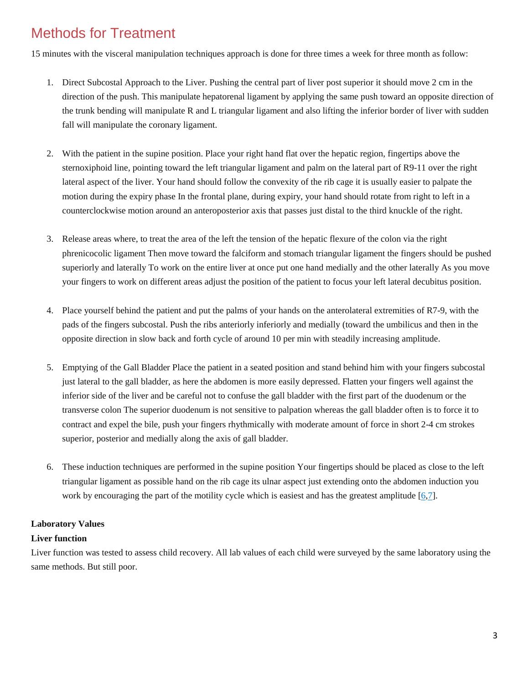# Methods for Treatment

15 minutes with the visceral manipulation techniques approach is done for three times a week for three month as follow:

- 1. Direct Subcostal Approach to the Liver. Pushing the central part of liver post superior it should move 2 cm in the direction of the push. This manipulate hepatorenal ligament by applying the same push toward an opposite direction of the trunk bending will manipulate R and L triangular ligament and also lifting the inferior border of liver with sudden fall will manipulate the coronary ligament.
- 2. With the patient in the supine position. Place your right hand flat over the hepatic region, fingertips above the sternoxiphoid line, pointing toward the left triangular ligament and palm on the lateral part of R9-11 over the right lateral aspect of the liver. Your hand should follow the convexity of the rib cage it is usually easier to palpate the motion during the expiry phase In the frontal plane, during expiry, your hand should rotate from right to left in a counterclockwise motion around an anteroposterior axis that passes just distal to the third knuckle of the right.
- 3. Release areas where, to treat the area of the left the tension of the hepatic flexure of the colon via the right phrenicocolic ligament Then move toward the falciform and stomach triangular ligament the fingers should be pushed superiorly and laterally To work on the entire liver at once put one hand medially and the other laterally As you move your fingers to work on different areas adjust the position of the patient to focus your left lateral decubitus position.
- 4. Place yourself behind the patient and put the palms of your hands on the anterolateral extremities of R7-9, with the pads of the fingers subcostal. Push the ribs anteriorly inferiorly and medially (toward the umbilicus and then in the opposite direction in slow back and forth cycle of around 10 per min with steadily increasing amplitude.
- 5. Emptying of the Gall Bladder Place the patient in a seated position and stand behind him with your fingers subcostal just lateral to the gall bladder, as here the abdomen is more easily depressed. Flatten your fingers well against the inferior side of the liver and be careful not to confuse the gall bladder with the first part of the duodenum or the transverse colon The superior duodenum is not sensitive to palpation whereas the gall bladder often is to force it to contract and expel the bile, push your fingers rhythmically with moderate amount of force in short 2-4 cm strokes superior, posterior and medially along the axis of gall bladder.
- 6. These induction techniques are performed in the supine position Your fingertips should be placed as close to the left triangular ligament as possible hand on the rib cage its ulnar aspect just extending onto the abdomen induction you work by encouraging the part of the motility cycle which is easiest and has the greatest amplitude [\[6](http://www.currentpediatrics.com/articles/effect-of-visceral-manipulation-on-liver-enzymes-on-a-child-with-cerebral-palsy.html#6)[,7\]](http://www.currentpediatrics.com/articles/effect-of-visceral-manipulation-on-liver-enzymes-on-a-child-with-cerebral-palsy.html#7).

#### **Laboratory Values**

#### **Liver function**

Liver function was tested to assess child recovery. All lab values of each child were surveyed by the same laboratory using the same methods. But still poor.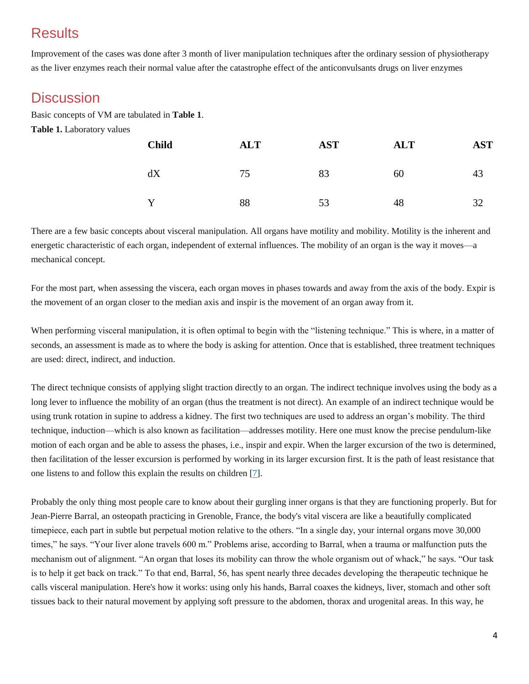# **Results**

Improvement of the cases was done after 3 month of liver manipulation techniques after the ordinary session of physiotherapy as the liver enzymes reach their normal value after the catastrophe effect of the anticonvulsants drugs on liver enzymes

### **Discussion**

Basic concepts of VM are tabulated in **Table 1**. **Table 1.** Laboratory values

| <b>Child</b> | <b>ALT</b> | <b>AST</b> | <b>ALT</b> | <b>AST</b> |
|--------------|------------|------------|------------|------------|
| dX           | 75         | 83         | 60         | 43         |
|              | 88         | 53         | 48         | 32         |

There are a few basic concepts about visceral manipulation. All organs have motility and mobility. Motility is the inherent and energetic characteristic of each organ, independent of external influences. The mobility of an organ is the way it moves—a mechanical concept.

For the most part, when assessing the viscera, each organ moves in phases towards and away from the axis of the body. Expir is the movement of an organ closer to the median axis and inspir is the movement of an organ away from it.

When performing visceral manipulation, it is often optimal to begin with the "listening technique." This is where, in a matter of seconds, an assessment is made as to where the body is asking for attention. Once that is established, three treatment techniques are used: direct, indirect, and induction.

The direct technique consists of applying slight traction directly to an organ. The indirect technique involves using the body as a long lever to influence the mobility of an organ (thus the treatment is not direct). An example of an indirect technique would be using trunk rotation in supine to address a kidney. The first two techniques are used to address an organ's mobility. The third technique, induction—which is also known as facilitation—addresses motility. Here one must know the precise pendulum-like motion of each organ and be able to assess the phases, i.e., inspir and expir. When the larger excursion of the two is determined, then facilitation of the lesser excursion is performed by working in its larger excursion first. It is the path of least resistance that one listens to and follow this explain the results on children [\[7\]](http://www.currentpediatrics.com/articles/effect-of-visceral-manipulation-on-liver-enzymes-on-a-child-with-cerebral-palsy.html#7).

Probably the only thing most people care to know about their gurgling inner organs is that they are functioning properly. But for Jean-Pierre Barral, an osteopath practicing in Grenoble, France, the body's vital viscera are like a beautifully complicated timepiece, each part in subtle but perpetual motion relative to the others. "In a single day, your internal organs move 30,000 times," he says. "Your liver alone travels 600 m." Problems arise, according to Barral, when a trauma or malfunction puts the mechanism out of alignment. "An organ that loses its mobility can throw the whole organism out of whack," he says. "Our task is to help it get back on track." To that end, Barral, 56, has spent nearly three decades developing the therapeutic technique he calls visceral manipulation. Here's how it works: using only his hands, Barral coaxes the kidneys, liver, stomach and other soft tissues back to their natural movement by applying soft pressure to the abdomen, thorax and urogenital areas. In this way, he